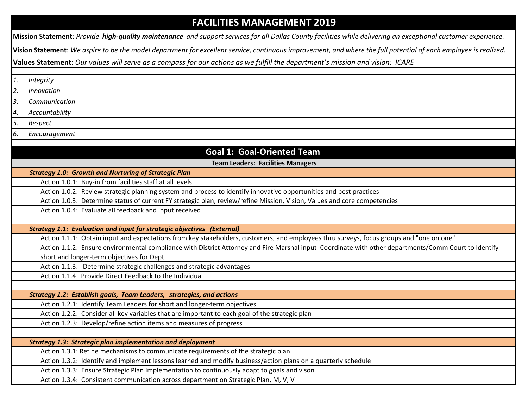# **FACILITIES MANAGEMENT 2019**

**Mission Statement**: *Provide high-quality maintenance and support services for all Dallas County facilities while delivering an exceptional customer experience.*

**Vision Statement**: *We aspire to be the model department for excellent service, continuous improvement, and where the full potential of each employee is realized.* 

**Values Statement**: *Our values will serve as a compass for our actions as we fulfill the department's mission and vision: ICARE*

*1. Integrity*

l,

*2. Innovation*

*3. Communication*

*4. Accountability*

*5. Respect*

*6. Encouragement*

## **Goal 1: Goal-Oriented Team**

**Team Leaders: Facilities Managers**

*Strategy 1.0: Growth and Nurturing of Strategic Plan* 

Action 1.0.1: Buy-in from facilities staff at all levels

Action 1.0.2: Review strategic planning system and process to identify innovative opportunities and best practices

Action 1.0.3: Determine status of current FY strategic plan, review/refine Mission, Vision, Values and core competencies

Action 1.0.4: Evaluate all feedback and input received

*Strategy 1.1: Evaluation and input for strategic objectives (External)* 

Action 1.1.1: Obtain input and expectations from key stakeholders, customers, and employees thru surveys, focus groups and "one on one"

Action 1.1.2: Ensure environmental compliance with District Attorney and Fire Marshal input Coordinate with other departments/Comm Court to Identify short and longer-term objectives for Dept

Action 1.1.3: Determine strategic challenges and strategic advantages

Action 1.1.4 Provide Direct Feedback to the Individual

*Strategy 1.2: Establish goals, Team Leaders, strategies, and actions* 

Action 1.2.1: Identify Team Leaders for short and longer-term objectives

Action 1.2.2: Consider all key variables that are important to each goal of the strategic plan

Action 1.2.3: Develop/refine action items and measures of progress

*Strategy 1.3: Strategic plan implementation and deployment* 

Action 1.3.1: Refine mechanisms to communicate requirements of the strategic plan

Action 1.3.2: Identify and implement lessons learned and modify business/action plans on a quarterly schedule

Action 1.3.3: Ensure Strategic Plan Implementation to continuously adapt to goals and vison

Action 1.3.4: Consistent communication across department on Strategic Plan, M, V, V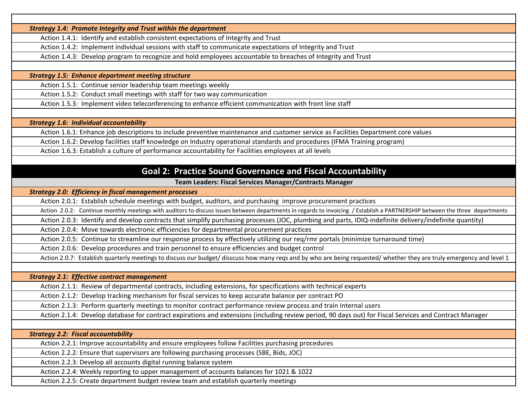*Strategy 1.4: Promote Integrity and Trust within the department* 

Action 1.4.1: Identify and establish consistent expectations of Integrity and Trust

Action 1.4.2: Implement individual sessions with staff to communicate expectations of Integrity and Trust

Action 1.4.3: Develop program to recognize and hold employees accountable to breaches of Integrity and Trust

*Strategy 1.5: Enhance department meeting structure* 

Action 1.5.1: Continue senior leadership team meetings weekly

Action 1.5.2: Conduct small meetings with staff for two way communication

Action 1.5.3: Implement video teleconferencing to enhance efficient communication with front line staff

*Strategy 1.6: Individual accountability* 

Action 1.6.1: Enhance job descriptions to include preventive maintenance and customer service as Facilities Department core values

Action 1.6.2: Develop facilities staff knowledge on Industry operational standards and procedures (IFMA Training program)

Action 1.6.3: Establish a culture of performance accountability for Facilities employees at all levels

## **Goal 2: Practice Sound Governance and Fiscal Accountability**

**Team Leaders: Fiscal Services Manager/Contracts Manager**

#### *Strategy 2.0: Efficiency in fiscal management processes*

Action 2.0.1: Establish schedule meetings with budget, auditors, and purchasing improve procurement practices

Action 2.0.2: Continue monthly meetings with auditors to discuss issues between departments in regards to invoicing / Establish a PARTNERSHIP between the three departments

Action 2.0.3: Identify and develop contracts that simplify purchasing processes (JOC, plumbing and parts, IDIQ-indefinite delivery/indefinite quantity)

Action 2.0.4: Move towards electronic efficiencies for departmental procurement practices

Action 2.0.5: Continue to streamline our response process by effectively utilizing our req/rmr portals (minimize turnaround time)

Action 2.0.6: Develop procedures and train personnel to ensure efficiencies and budget control

Action 2.0.7: Establish quarterly meetings to discuss our budget/ disscuss how many reqs and by who are being requested/ whether they are truly emergency and level 1

*Strategy 2.1: Effective contract management* 

Action 2.1.1: Review of departmental contracts, including extensions, for specifications with technical experts

Action 2.1.2: Develop tracking mechanism for fiscal services to keep accurate balance per contract PO

Action 2.1.3: Perform quarterly meetings to monitor contract performance review process and train internal users

Action 2.1.4: Develop database for contract expirations and extensions (including review period, 90 days out) for Fiscal Services and Contract Manager

*Strategy 2.2: Fiscal accountability* 

Action 2.2.1: Improve accountability and ensure employees follow Facilities purchasing procedures

Action 2.2.2: Ensure that supervisors are following purchasing processes (SBE, Bids, JOC)

Action 2.2.3: Develop all accounts digital running balance system

Action 2.2.4: Weekly reporting to upper management of accounts balances for 1021 & 1022

Action 2.2.5: Create department budget review team and establish quarterly meetings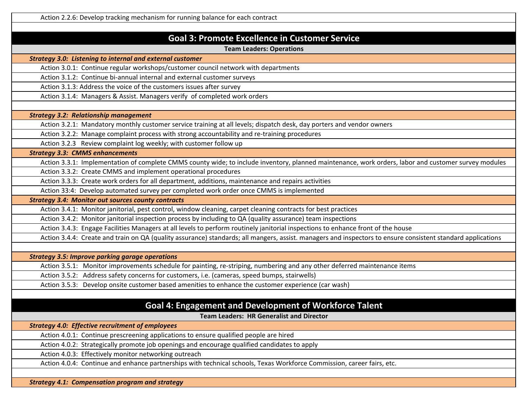#### **Goal 3: Promote Excellence in Customer Service**

**Team Leaders: Operations**

*Strategy 3.0: Listening to internal and external customer* 

Action 3.0.1: Continue regular workshops/customer council network with departments

Action 3.1.2: Continue bi-annual internal and external customer surveys

Action 3.1.3: Address the voice of the customers issues after survey

Action 3.1.4: Managers & Assist. Managers verify of completed work orders

*Strategy 3.2: Relationship management*

Action 3.2.1: Mandatory monthly customer service training at all levels; dispatch desk, day porters and vendor owners

Action 3.2.2: Manage complaint process with strong accountability and re-training procedures

Action 3.2.3 Review complaint log weekly; with customer follow up

*Strategy 3.3: CMMS enhancements* 

Action 3.3.1: Implementation of complete CMMS county wide; to include inventory, planned maintenance, work orders, labor and customer survey modules

Action 3.3.2: Create CMMS and implement operational procedures

Action 3.3.3: Create work orders for all department, additions, maintenance and repairs activities

Action 33:4: Develop automated survey per completed work order once CMMS is implemented

*Strategy 3.4: Monitor out sources county contracts* 

Action 3.4.1: Monitor janitorial, pest control, window cleaning, carpet cleaning contracts for best practices

Action 3.4.2: Monitor janitorial inspection process by including to QA (quality assurance) team inspections

Action 3.4.3: Engage Facilities Managers at all levels to perform routinely janitorial inspections to enhance front of the house

Action 3.4.4: Create and train on QA (quality assurance) standards; all mangers, assist. managers and inspectors to ensure consistent standard applications

*Strategy 3.5: Improve parking garage operations* 

Action 3.5.1: Monitor improvements schedule for painting, re-striping, numbering and any other deferred maintenance items

Action 3.5.2: Address safety concerns for customers, i.e. (cameras, speed bumps, stairwells)

Action 3.5.3: Develop onsite customer based amenities to enhance the customer experience (car wash)

### **Goal 4: Engagement and Development of Workforce Talent**

**Team Leaders: HR Generalist and Director**

*Strategy 4.0: Effective recruitment of employees* 

Action 4.0.1: Continue prescreening applications to ensure qualified people are hired

Action 4.0.2: Strategically promote job openings and encourage qualified candidates to apply

Action 4.0.3: Effectively monitor networking outreach

Action 4.0.4: Continue and enhance partnerships with technical schools, Texas Workforce Commission, career fairs, etc.

*Strategy 4.1: Compensation program and strategy*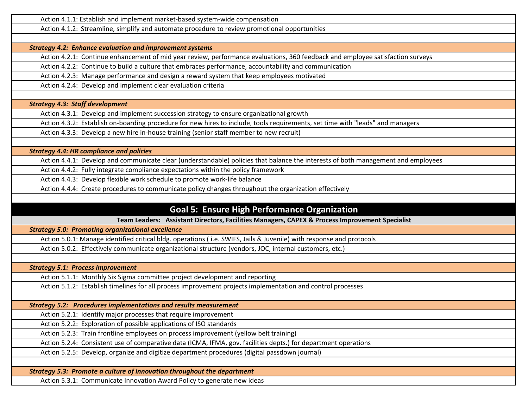Action 4.1.1: Establish and implement market-based system-wide compensation

Action 4.1.2: Streamline, simplify and automate procedure to review promotional opportunities

*Strategy 4.2: Enhance evaluation and improvement systems* 

Action 4.2.1: Continue enhancement of mid year review, performance evaluations, 360 feedback and employee satisfaction surveys

Action 4.2.2: Continue to build a culture that embraces performance, accountability and communication

Action 4.2.3: Manage performance and design a reward system that keep employees motivated

Action 4.2.4: Develop and implement clear evaluation criteria

*Strategy 4.3: Staff development* 

Action 4.3.1: Develop and implement succession strategy to ensure organizational growth

Action 4.3.2: Establish on-boarding procedure for new hires to include, tools requirements, set time with "leads" and managers

Action 4.3.3: Develop a new hire in-house training (senior staff member to new recruit)

*Strategy 4.4: HR compliance and policies* 

Action 4.4.1: Develop and communicate clear (understandable) policies that balance the interests of both management and employees

Action 4.4.2: Fully integrate compliance expectations within the policy framework

Action 4.4.3: Develop flexible work schedule to promote work-life balance

Action 4.4.4: Create procedures to communicate policy changes throughout the organization effectively

# **Goal 5: Ensure High Performance Organization**

**Team Leaders: Assistant Directors, Facilities Managers, CAPEX & Process Improvement Specialist**

*Strategy 5.0: Promoting organizational excellence* 

Action 5.0.1: Manage identified critical bldg. operations ( i.e. SWIFS, Jails & Juvenile) with response and protocols

Action 5.0.2: Effectively communicate organizational structure (vendors, JOC, internal customers, etc.)

*Strategy 5.1: Process improvement* 

Action 5.1.1: Monthly Six Sigma committee project development and reporting

Action 5.1.2: Establish timelines for all process improvement projects implementation and control processes

*Strategy 5.2: Procedures implementations and results measurement* 

Action 5.2.1: Identify major processes that require improvement

Action 5.2.2: Exploration of possible applications of ISO standards

Action 5.2.3: Train frontline employees on process improvement (yellow belt training)

Action 5.2.4: Consistent use of comparative data (ICMA, IFMA, gov. facilities depts.) for department operations

Action 5.2.5: Develop, organize and digitize department procedures (digital passdown journal)

*Strategy 5.3: Promote a culture of innovation throughout the department* 

Action 5.3.1: Communicate Innovation Award Policy to generate new ideas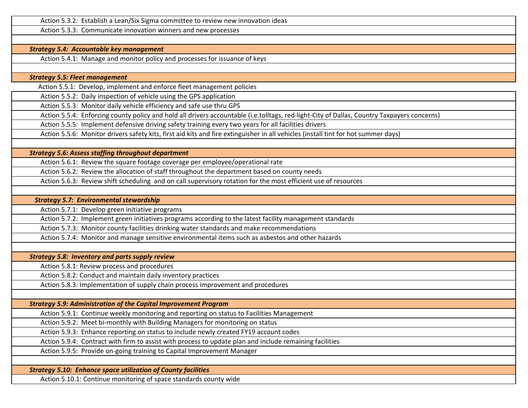Action 5.3.2: Establish a Lean/Six Sigma committee to review new innovation ideas

Action 5.3.3: Communicate innovation winners and new processes

#### *Strategy 5.4: Accountable key management*

Action 5.4.1: Manage and monitor policy and processes for issuance of keys

*Strategy 5.5: Fleet management* 

Action 5.5.1: Develop, implement and enforce fleet management policies

Action 5.5.2: Daily inspection of vehicle using the GPS application

Action 5.5.3: Monitor daily vehicle efficiency and safe use thru GPS

Action 5.5.4: Enforcing county policy and hold all drivers accountable (i.e.tolltags, red-light-City of Dallas, Country Taxpayers concerns)

Action 5.5.5: Implement defensive driving safety training every two years for all facilities drivers

Action 5.5.6: Monitor drivers safety kits, first aid kits and fire extinguisher in all vehicles (install tint for hot summer days)

*Strategy 5.6: Assess staffing throughout department* 

Action 5.6.1: Review the square footage coverage per employee/operational rate

Action 5.6.2: Review the allocation of staff throughout the department based on county needs

Action 5.6.3: Review shift scheduling and on call supervisory rotation for the most efficient use of resources

 *Strategy 5.7: Environmental stewardship* 

Action 5.7.1: Develop green initiative programs

Action 5.7.2: Implement green initiatives programs according to the latest facility management standards

Action 5.7.3: Monitor county facilities drinking water standards and make recommendations

Action 5.7.4: Monitor and manage sensitive environmental items such as asbestos and other hazards

*Strategy 5.8: Inventory and parts supply review* 

Action 5.8.1: Review process and procedures

Action 5.8.2: Conduct and maintain daily inventory practices

Action 5.8.3: Implementation of supply chain process improvement and procedures

*Strategy 5.9: Administration of the Capital Improvement Program* 

Action 5.9.1: Continue weekly monitoring and reporting on status to Facilities Management

Action 5.9.2: Meet bi-monthly with Building Managers for monitoring on status

Action 5.9.3: Enhance reporting on status to include newly created FY19 account codes

Action 5.9.4: Contract with firm to assist with process to update plan and include remaining facilities

Action 5.9.5: Provide on-going training to Capital Improvement Manager

*Strategy 5.10: Enhance space utilization of County facilities* 

Action 5.10.1: Continue monitoring of space standards county wide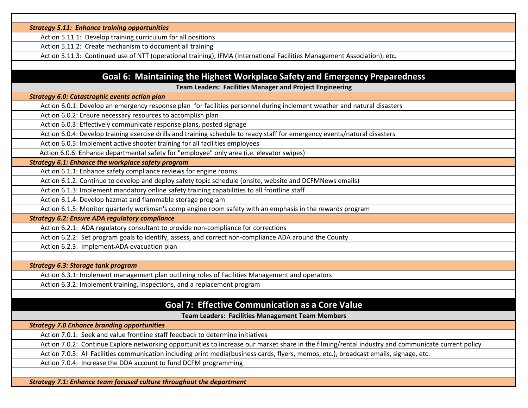*Strategy 5.11: Enhance training opportunities* 

Action 5.11.1: Develop training curriculum for all positions

Action 5.11.2: Create mechanism to document all training

Action 5.11.3: Continued use of NTT (operational training), IFMA (International Facilities Management Association), etc.

### **Goal 6: Maintaining the Highest Workplace Safety and Emergency Preparedness**

**Team Leaders: Facilities Manager and Project Engineering**

*Strategy 6.0: Catastrophic events action plan* 

Action 6.0.1: Develop an emergency response plan for facilities personnel during inclement weather and natural disasters

Action 6.0.2: Ensure necessary resources to accomplish plan

Action 6.0.3: Effectively communicate response plans, posted signage

Action 6.0.4: Develop training exercise drills and training schedule to ready staff for emergency events/natural disasters

Action 6.0.5: Implement active shooter training for all facilities employees

Action 6.0.6: Enhance departmental safety for "employee" only area (i.e. elevator swipes)

*Strategy 6.1: Enhance the workplace safety program* 

Action 6.1.1: Enhance safety compliance reviews for engine rooms

Action 6.1.2: Continue to develop and deploy safety topic schedule (onsite, website and DCFMNews emails)

Action 6.1.3: Implement mandatory online safety training capabilities to all frontline staff

Action 6.1.4: Develop hazmat and flammable storage program

Action 6.1.5: Monitor quarterly workman's comp engine room safety with an emphasis in the rewards program

*Strategy 6.2: Ensure ADA regulatory compliance* 

Action 6.2.1: ADA regulatory consultant to provide non-compliance for corrections

Action 6.2.2: Set program goals to identify, assess, and correct non-compliance ADA around the County

Action 6.2.3: Implement ADA evacuation plan

*Strategy 6.3: Storage tank program* 

Action 6.3.1: Implement management plan outlining roles of Facilities Management and operators

Action 6.3.2: Implement training, inspections, and a replacement program

### **Goal 7: Effective Communication as a Core Value**

**Team Leaders: Facilities Management Team Members**

*Strategy 7.0 Enhance branding opportunities* 

Action 7.0.1: Seek and value frontline staff feedback to determine initiatives

Action 7.0.2: Continue Explore networking opportunities to increase our market share in the filming/rental industry and communicate current policy

Action 7.0.3: All Facilities communication including print media(business cards, flyers, memos, etc.), broadcast emails, signage, etc.

Action 7.0.4: Increase the DDA account to fund DCFM programming

*Strategy 7.1: Enhance team focused culture throughout the department*